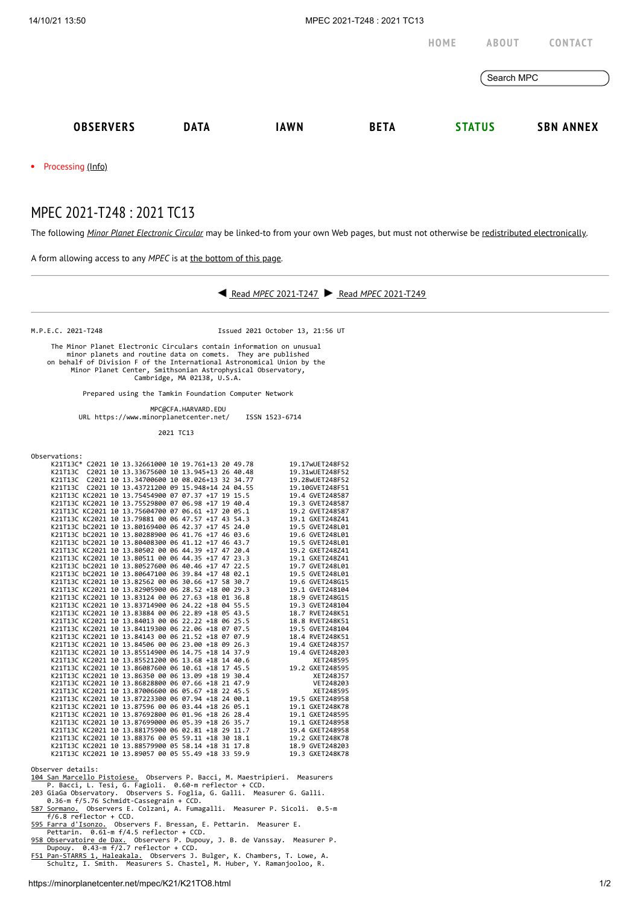

## MPEC 2021-T248 : 2021 TC13

The following *Minor Planet [Electronic](https://minorplanetcenter.net/iau/services/MPEC.html) Circular* may be linked-to from your own Web pages, but must not otherwise be redistributed [electronically](https://minorplanetcenter.net/iau/WWWPolicy.html).

A form allowing access to any *MPEC* is at the [bottom](https://minorplanetcenter.net/mpec/K19/K21TO8.html#form) of this page.



M.P.E.C. 2021-T248 Issued 2021 October 13, 21:56 UT

 The Minor Planet Electronic Circulars contain information on unusual minor planets and routine data on comets. They are published on behalf of Division F of the International Astronomical Union by the Minor Planet Center, Smithsonian Astrophysical Observatory, Cambridge, MA 02138, U.S.A.

Prepared using the Tamkin Foundation Computer Network

MPC@CFA.HARVARD.EDU

URL https://www.minorplanetcenter.net/ ISSN 1523-6714

2021 TC13

Observations:

|  | K21T13C* C2021 10 13.32661000 10 19.761+13 20 49.78 |  |  | 19.17wUET248F52 |
|--|-----------------------------------------------------|--|--|-----------------|
|  | K21T13C C2021 10 13.33675600 10 13.945+13 26 40.48  |  |  | 19.31wUET248F52 |
|  | K21T13C C2021 10 13.34700600 10 08.026+13 32 34.77  |  |  | 19.28wUET248F52 |
|  | K21T13C C2021 10 13.43721200 09 15.948+14 24 04.55  |  |  | 19.10GVET248F51 |
|  | K21T13C KC2021 10 13.75454900 07 07.37 +17 19 15.5  |  |  | 19.4 GVET248587 |
|  | K21T13C KC2021 10 13.75529800 07 06.98 +17 19 40.4  |  |  | 19.3 GVET248587 |
|  | K21T13C KC2021 10 13.75604700 07 06.61 +17 20 05.1  |  |  | 19.2 GVET248587 |
|  | K21T13C KC2021 10 13.79881 00 06 47.57 +17 43 54.3  |  |  | 19.1 GXET248Z41 |
|  | K21T13C bC2021 10 13.80169400 06 42.37 +17 45 24.0  |  |  | 19.5 GVET248L01 |
|  | K21T13C bC2021 10 13.80288900 06 41.76 +17 46 03.6  |  |  | 19.6 GVET248L01 |
|  | K21T13C bC2021 10 13.80408300 06 41.12 +17 46 43.7  |  |  | 19.5 GVET248L01 |
|  | K21T13C KC2021 10 13.80502 00 06 44.39 +17 47 20.4  |  |  | 19.2 GXET248Z41 |
|  | K21T13C KC2021 10 13.80511 00 06 44.35 +17 47 23.3  |  |  | 19.1 GXET248Z41 |
|  | K21T13C bC2021 10 13.80527600 06 40.46 +17 47 22.5  |  |  | 19.7 GVET248L01 |
|  | K21T13C bC2021 10 13.80647100 06 39.84 +17 48 02.1  |  |  | 19.5 GVET248L01 |
|  | K21T13C KC2021 10 13.82562 00 06 30.66 +17 58 30.7  |  |  | 19.6 GVET248G15 |
|  | K21T13C KC2021 10 13.82905900 06 28.52 +18 00 29.3  |  |  | 19.1 GVET248104 |
|  | K21T13C KC2021 10 13.83124 00 06 27.63 +18 01 36.8  |  |  | 18.9 GVET248G15 |
|  | K21T13C KC2021 10 13.83714900 06 24.22 +18 04 55.5  |  |  | 19.3 GVET248104 |
|  | K21T13C KC2021 10 13.83884 00 06 22.89 +18 05 43.5  |  |  | 18.7 RVET248K51 |
|  | K21T13C KC2021 10 13.84013 00 06 22.22 +18 06 25.5  |  |  | 18.8 RVET248K51 |
|  | K21T13C KC2021 10 13.84119300 06 22.06 +18 07 07.5  |  |  | 19.5 GVET248104 |
|  | K21T13C KC2021 10 13.84143 00 06 21.52 +18 07 07.9  |  |  | 18.4 RVET248K51 |
|  | K21T13C KC2021 10 13.84506 00 06 23.00 +18 09 26.3  |  |  | 19.4 GXET248J57 |
|  | K21T13C KC2021 10 13.85514900 06 14.75 +18 14 37.9  |  |  | 19.4 GVET248203 |
|  | K21T13C KC2021 10 13.85521200 06 13.68 +18 14 40.6  |  |  | XET248595       |
|  | K21T13C KC2021 10 13.86087600 06 10.61 +18 17 45.5  |  |  | 19.2 GXET248595 |
|  | K21T13C KC2021 10 13.86350 00 06 13.09 +18 19 30.4  |  |  | XET248J57       |
|  | K21T13C KC2021 10 13.86828800 06 07.66 +18 21 47.9  |  |  | VET248203       |
|  | K21T13C KC2021 10 13.87006600 06 05.67 +18 22 45.5  |  |  | XET248595       |
|  | K21T13C KC2021 10 13.87223300 06 07.94 +18 24 00.1  |  |  | 19.5 GXET248958 |
|  | K21T13C KC2021 10 13.87596 00 06 03.44 +18 26 05.1  |  |  | 19.1 GXET248K78 |
|  | K21T13C KC2021 10 13.87692800 06 01.96 +18 26 28.4  |  |  | 19.1 GXET248595 |
|  | K21T13C KC2021 10 13.87699000 06 05.39 +18 26 35.7  |  |  | 19.1 GXET248958 |
|  | K21T13C KC2021 10 13.88175900 06 02.81 +18 29 11.7  |  |  | 19.4 GXET248958 |
|  | K21T13C KC2021 10 13.88376 00 05 59.11 +18 30 18.1  |  |  | 19.2 GXET248K78 |
|  | K21T13C KC2021 10 13.88579900 05 58.14 +18 31 17.8  |  |  | 18.9 GVET248203 |
|  | K21T13C KC2021 10 13.89057 00 05 55.49 +18 33 59.9  |  |  | 19.3 GXET248K78 |

- 
- 
- 
- 
- Observer details:<br>
<u>104 San Marcello Pistoiese.</u> Observers P. Bacci, M. Maestripieri. Measurers<br>
P. Bacci, L. Tesi, G. Fagioli. 0.60-m reflector + CCD.<br>
203 GiaGa Observatory. Observers S. Foglia, G. Galli. Measurer G. Gal
-